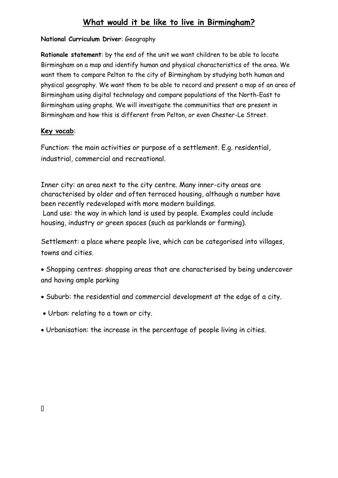# **What would it be like to live in Birmingham?**

## **National Curriculum Driver**: Geography

**Rationale statement**: by the end of the unit we want children to be able to locate Birmingham on a map and identify human and physical characteristics of the area. We want them to compare Pelton to the city of Birmingham by studying both human and physical geography. We want them to be able to record and present a map of an area of Birmingham using digital technology and compare populations of the North-East to Birmingham using graphs. We will investigate the communities that are present in Birmingham and how this is different from Pelton, or even Chester-Le Street.

## **Key vocab**:

Function: the main activities or purpose of a settlement. E.g. residential, industrial, commercial and recreational.

Inner city: an area next to the city centre. Many inner-city areas are characterised by older and often terraced housing, although a number have been recently redeveloped with more modern buildings. Land use: the way in which land is used by people. Examples could include housing, industry or green spaces (such as parklands or farming).

Settlement: a place where people live, which can be categorised into villages, towns and cities.

- Shopping centres: shopping areas that are characterised by being undercover and having ample parking
- Suburb: the residential and commercial development at the edge of a city.
- Urban: relating to a town or city.
- Urbanisation: the increase in the percentage of people living in cities.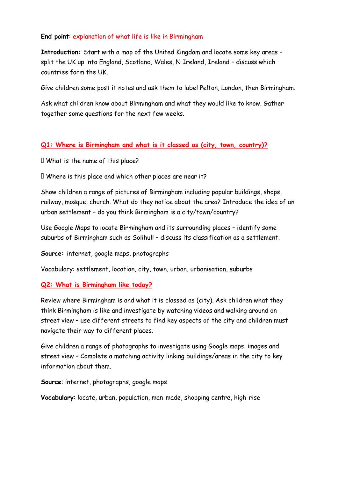## **End point**: explanation of what life is like in Birmingham

**Introduction:** Start with a map of the United Kingdom and locate some key areas – split the UK up into England, Scotland, Wales, N Ireland, Ireland – discuss which countries form the UK.

Give children some post it notes and ask them to label Pelton, London, then Birmingham.

Ask what children know about Birmingham and what they would like to know. Gather together some questions for the next few weeks.

#### **Q1: Where is Birmingham and what is it classed as (city, town, country)?**

 $\Box$  What is the name of this place?

I Where is this place and which other places are near it?

Show children a range of pictures of Birmingham including popular buildings, shops, railway, mosque, church. What do they notice about the area? Introduce the idea of an urban settlement – do you think Birmingham is a city/town/country?

Use Google Maps to locate Birmingham and its surrounding places – identify some suburbs of Birmingham such as Solihull – discuss its classification as a settlement.

**Source:** internet, google maps, photographs

Vocabulary: settlement, location, city, town, urban, urbanisation, suburbs

#### **Q2: What is Birmingham like today?**

Review where Birmingham is and what it is classed as (city). Ask children what they think Birmingham is like and investigate by watching videos and walking around on street view – use different streets to find key aspects of the city and children must navigate their way to different places.

Give children a range of photographs to investigate using Google maps, images and street view – Complete a matching activity linking buildings/areas in the city to key information about them.

**Source**: internet, photographs, google maps

**Vocabulary**: locate, urban, population, man-made, shopping centre, high-rise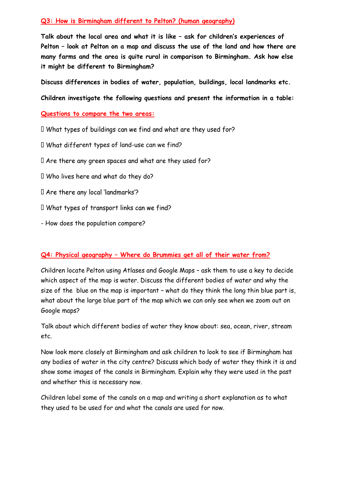#### **Q3: How is Birmingham different to Pelton? (human geography)**

**Talk about the local area and what it is like – ask for children's experiences of Pelton – look at Pelton on a map and discuss the use of the land and how there are many farms and the area is quite rural in comparison to Birmingham. Ask how else it might be different to Birmingham?**

**Discuss differences in bodies of water, population, buildings, local landmarks etc.** 

**Children investigate the following questions and present the information in a table:**

#### **Questions to compare the two areas:**

- I What types of buildings can we find and what are they used for?
- $\Box$  What different types of land-use can we find?
- I Are there any green spaces and what are they used for?
- I Who lives here and what do they do?
- I Are there any local 'landmarks'?
- I What types of transport links can we find?
- How does the population compare?

#### **Q4: Physical geography – Where do Brummies get all of their water from?**

Children locate Pelton using Atlases and Google Maps – ask them to use a key to decide which aspect of the map is water. Discuss the different bodies of water and why the size of the blue on the map is important – what do they think the long thin blue part is, what about the large blue part of the map which we can only see when we zoom out on Google maps?

Talk about which different bodies of water they know about: sea, ocean, river, stream etc.

Now look more closely at Birmingham and ask children to look to see if Birmingham has any bodies of water in the city centre? Discuss which body of water they think it is and show some images of the canals in Birmingham. Explain why they were used in the past and whether this is necessary now.

Children label some of the canals on a map and writing a short explanation as to what they used to be used for and what the canals are used for now.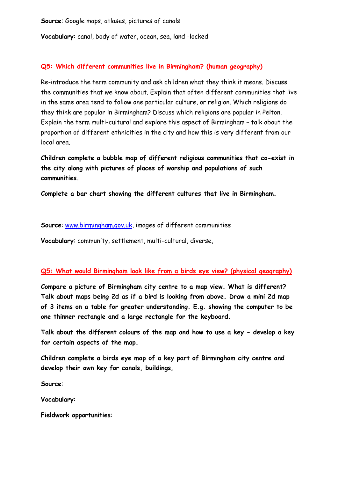**Source**: Google maps, atlases, pictures of canals

**Vocabulary**: canal, body of water, ocean, sea, land -locked

#### **Q5: Which different communities live in Birmingham? (human geography)**

Re-introduce the term community and ask children what they think it means. Discuss the communities that we know about. Explain that often different communities that live in the same area tend to follow one particular culture, or religion. Which religions do they think are popular in Birmingham? Discuss which religions are popular in Pelton. Explain the term multi-cultural and explore this aspect of Birmingham – talk about the proportion of different ethnicities in the city and how this is very different from our local area.

**Children complete a bubble map of different religious communities that co-exist in the city along with pictures of places of worship and populations of such communities.**

**Complete a bar chart showing the different cultures that live in Birmingham.**

**Source**: [www.birmingham.gov.uk,](http://www.birmingham.gov.uk/) images of different communities

**Vocabulary**: community, settlement, multi-cultural, diverse,

#### **Q5: What would Birmingham look like from a birds eye view? (physical geography)**

**Compare a picture of Birmingham city centre to a map view. What is different? Talk about maps being 2d as if a bird is looking from above. Draw a mini 2d map of 3 items on a table for greater understanding. E.g. showing the computer to be one thinner rectangle and a large rectangle for the keyboard.** 

**Talk about the different colours of the map and how to use a key - develop a key for certain aspects of the map.** 

**Children complete a birds eye map of a key part of Birmingham city centre and develop their own key for canals, buildings,** 

**Source**:

**Vocabulary**:

**Fieldwork opportunities**: